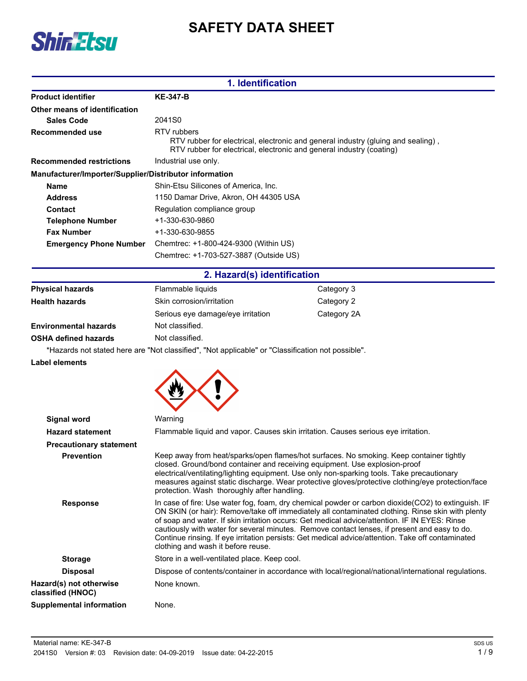



| 1. Identification                                      |                                                                                                                                                                         |  |
|--------------------------------------------------------|-------------------------------------------------------------------------------------------------------------------------------------------------------------------------|--|
| <b>Product identifier</b>                              | <b>KE-347-B</b>                                                                                                                                                         |  |
| Other means of identification                          |                                                                                                                                                                         |  |
| Sales Code                                             | 2041 <sub>S0</sub>                                                                                                                                                      |  |
| Recommended use                                        | RTV rubbers<br>RTV rubber for electrical, electronic and general industry (gluing and sealing),<br>RTV rubber for electrical, electronic and general industry (coating) |  |
| <b>Recommended restrictions</b>                        | Industrial use only.                                                                                                                                                    |  |
| Manufacturer/Importer/Supplier/Distributor information |                                                                                                                                                                         |  |
| <b>Name</b>                                            | Shin-Etsu Silicones of America, Inc.                                                                                                                                    |  |
| <b>Address</b>                                         | 1150 Damar Drive, Akron, OH 44305 USA                                                                                                                                   |  |
| Contact                                                | Regulation compliance group                                                                                                                                             |  |
| <b>Telephone Number</b>                                | +1-330-630-9860                                                                                                                                                         |  |
| <b>Fax Number</b>                                      | +1-330-630-9855                                                                                                                                                         |  |
| <b>Emergency Phone Number</b>                          | Chemtrec: +1-800-424-9300 (Within US)                                                                                                                                   |  |
|                                                        | Chemtrec: +1-703-527-3887 (Outside US)                                                                                                                                  |  |

### **2. Hazard(s) identification**

| <b>Physical hazards</b>      | Flammable liquids                                                                                      | Category 3  |
|------------------------------|--------------------------------------------------------------------------------------------------------|-------------|
| <b>Health hazards</b>        | Skin corrosion/irritation                                                                              | Category 2  |
|                              | Serious eye damage/eye irritation                                                                      | Category 2A |
| <b>Environmental hazards</b> | Not classified.                                                                                        |             |
| <b>OSHA defined hazards</b>  | Not classified.                                                                                        |             |
|                              | الملطانعممه فممسوح والمعملات المستحدث والمستحلفا المتكنوم والمستحام فمالي وسمروه والمفاوض والمستحد الا |             |

\*Hazards not stated here are "Not classified", "Not applicable" or "Classification not possible".

**Label elements**

| Signal word                                  | Warning                                                                                                                                                                                                                                                                                                                                                                                                                                                                                                                                            |
|----------------------------------------------|----------------------------------------------------------------------------------------------------------------------------------------------------------------------------------------------------------------------------------------------------------------------------------------------------------------------------------------------------------------------------------------------------------------------------------------------------------------------------------------------------------------------------------------------------|
| <b>Hazard statement</b>                      | Flammable liquid and vapor. Causes skin irritation. Causes serious eye irritation.                                                                                                                                                                                                                                                                                                                                                                                                                                                                 |
| <b>Precautionary statement</b>               |                                                                                                                                                                                                                                                                                                                                                                                                                                                                                                                                                    |
| <b>Prevention</b>                            | Keep away from heat/sparks/open flames/hot surfaces. No smoking. Keep container tightly<br>closed. Ground/bond container and receiving equipment. Use explosion-proof<br>electrical/ventilating/lighting equipment. Use only non-sparking tools. Take precautionary<br>measures against static discharge. Wear protective gloves/protective clothing/eye protection/face<br>protection. Wash thoroughly after handling.                                                                                                                            |
| <b>Response</b>                              | In case of fire: Use water fog, foam, dry chemical powder or carbon dioxide(CO2) to extinguish. IF<br>ON SKIN (or hair): Remove/take off immediately all contaminated clothing. Rinse skin with plenty<br>of soap and water. If skin irritation occurs: Get medical advice/attention. IF IN EYES: Rinse<br>cautiously with water for several minutes. Remove contact lenses, if present and easy to do.<br>Continue rinsing. If eye irritation persists: Get medical advice/attention. Take off contaminated<br>clothing and wash it before reuse. |
| <b>Storage</b>                               | Store in a well-ventilated place. Keep cool.                                                                                                                                                                                                                                                                                                                                                                                                                                                                                                       |
| <b>Disposal</b>                              | Dispose of contents/container in accordance with local/regional/national/international regulations.                                                                                                                                                                                                                                                                                                                                                                                                                                                |
| Hazard(s) not otherwise<br>classified (HNOC) | None known.                                                                                                                                                                                                                                                                                                                                                                                                                                                                                                                                        |
| Supplemental information                     | None.                                                                                                                                                                                                                                                                                                                                                                                                                                                                                                                                              |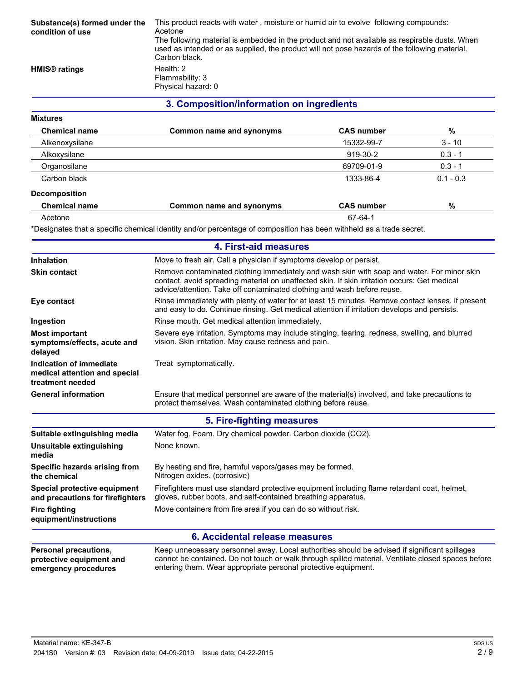| Substance(s) formed under the<br>condition of use | This product reacts with water, moisture or humid air to evolve following compounds:<br>Acetone<br>The following material is embedded in the product and not available as respirable dusts. When<br>used as intended or as supplied, the product will not pose hazards of the following material.<br>Carbon black. |                   |             |
|---------------------------------------------------|--------------------------------------------------------------------------------------------------------------------------------------------------------------------------------------------------------------------------------------------------------------------------------------------------------------------|-------------------|-------------|
| <b>HMIS<sup>®</sup></b> ratings                   | Health: $2$                                                                                                                                                                                                                                                                                                        |                   |             |
|                                                   | Flammability: 3                                                                                                                                                                                                                                                                                                    |                   |             |
|                                                   | Physical hazard: 0                                                                                                                                                                                                                                                                                                 |                   |             |
|                                                   | 3. Composition/information on ingredients                                                                                                                                                                                                                                                                          |                   |             |
| <b>Mixtures</b>                                   |                                                                                                                                                                                                                                                                                                                    |                   |             |
| <b>Chemical name</b>                              | Common name and synonyms                                                                                                                                                                                                                                                                                           | <b>CAS number</b> | %           |
| Alkenoxysilane                                    |                                                                                                                                                                                                                                                                                                                    | 15332-99-7        | $3 - 10$    |
| Alkoxysilane                                      |                                                                                                                                                                                                                                                                                                                    | 919-30-2          | $0.3 - 1$   |
| Organosilane                                      |                                                                                                                                                                                                                                                                                                                    | 69709-01-9        | $0.3 - 1$   |
| Carbon black                                      |                                                                                                                                                                                                                                                                                                                    | 1333-86-4         | $0.1 - 0.3$ |

#### **Decomposition**

| <b>PODUTIONISTIC</b> |                          |                   |   |  |
|----------------------|--------------------------|-------------------|---|--|
| <b>Chemical name</b> | Common name and synonyms | <b>CAS number</b> | % |  |
| Acetone              |                          | 67-64-1           |   |  |

\*Designates that a specific chemical identity and/or percentage of composition has been withheld as a trade secret.

|                                                                                  | 4. First-aid measures                                                                                                                                                                                                                                                 |  |
|----------------------------------------------------------------------------------|-----------------------------------------------------------------------------------------------------------------------------------------------------------------------------------------------------------------------------------------------------------------------|--|
| Inhalation                                                                       | Move to fresh air. Call a physician if symptoms develop or persist.                                                                                                                                                                                                   |  |
| <b>Skin contact</b>                                                              | Remove contaminated clothing immediately and wash skin with soap and water. For minor skin<br>contact, avoid spreading material on unaffected skin. If skin irritation occurs: Get medical<br>advice/attention. Take off contaminated clothing and wash before reuse. |  |
| Eye contact                                                                      | Rinse immediately with plenty of water for at least 15 minutes. Remove contact lenses, if present<br>and easy to do. Continue rinsing. Get medical attention if irritation develops and persists.                                                                     |  |
| Ingestion                                                                        | Rinse mouth. Get medical attention immediately.                                                                                                                                                                                                                       |  |
| <b>Most important</b><br>symptoms/effects, acute and<br>delayed                  | Severe eye irritation. Symptoms may include stinging, tearing, redness, swelling, and blurred<br>vision. Skin irritation. May cause redness and pain.                                                                                                                 |  |
| Indication of immediate<br>medical attention and special<br>treatment needed     | Treat symptomatically.                                                                                                                                                                                                                                                |  |
| <b>General information</b>                                                       | Ensure that medical personnel are aware of the material(s) involved, and take precautions to<br>protect themselves. Wash contaminated clothing before reuse.                                                                                                          |  |
|                                                                                  | 5. Fire-fighting measures                                                                                                                                                                                                                                             |  |
| Suitable extinguishing media                                                     | Water fog. Foam. Dry chemical powder. Carbon dioxide (CO2).                                                                                                                                                                                                           |  |
| Unsuitable extinguishing<br>media                                                | None known.                                                                                                                                                                                                                                                           |  |
| Specific hazards arising from<br>the chemical                                    | By heating and fire, harmful vapors/gases may be formed.<br>Nitrogen oxides. (corrosive)                                                                                                                                                                              |  |
| Special protective equipment<br>and precautions for firefighters                 | Firefighters must use standard protective equipment including flame retardant coat, helmet,<br>gloves, rubber boots, and self-contained breathing apparatus.                                                                                                          |  |
| <b>Fire fighting</b><br>equipment/instructions                                   | Move containers from fire area if you can do so without risk.                                                                                                                                                                                                         |  |
|                                                                                  | 6. Accidental release measures                                                                                                                                                                                                                                        |  |
| <b>Personal precautions,</b><br>protective equipment and<br>emergency procedures | Keep unnecessary personnel away. Local authorities should be advised if significant spillages<br>cannot be contained. Do not touch or walk through spilled material. Ventilate closed spaces before<br>entering them. Wear appropriate personal protective equipment. |  |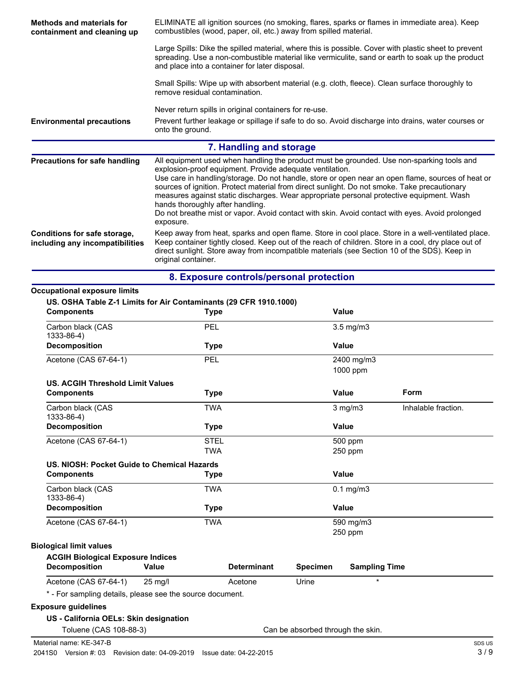| <b>Methods and materials for</b><br>containment and cleaning up | ELIMINATE all ignition sources (no smoking, flares, sparks or flames in immediate area). Keep<br>combustibles (wood, paper, oil, etc.) away from spilled material.                                                                                                                                                                                                                                                                                                                                                                                                                                         |                                                                                                                                                                                                          |  |
|-----------------------------------------------------------------|------------------------------------------------------------------------------------------------------------------------------------------------------------------------------------------------------------------------------------------------------------------------------------------------------------------------------------------------------------------------------------------------------------------------------------------------------------------------------------------------------------------------------------------------------------------------------------------------------------|----------------------------------------------------------------------------------------------------------------------------------------------------------------------------------------------------------|--|
|                                                                 | and place into a container for later disposal.                                                                                                                                                                                                                                                                                                                                                                                                                                                                                                                                                             | Large Spills: Dike the spilled material, where this is possible. Cover with plastic sheet to prevent<br>spreading. Use a non-combustible material like vermiculite, sand or earth to soak up the product |  |
|                                                                 | remove residual contamination.                                                                                                                                                                                                                                                                                                                                                                                                                                                                                                                                                                             | Small Spills: Wipe up with absorbent material (e.g. cloth, fleece). Clean surface thoroughly to                                                                                                          |  |
|                                                                 | Never return spills in original containers for re-use.                                                                                                                                                                                                                                                                                                                                                                                                                                                                                                                                                     |                                                                                                                                                                                                          |  |
| <b>Environmental precautions</b>                                | onto the ground.                                                                                                                                                                                                                                                                                                                                                                                                                                                                                                                                                                                           | Prevent further leakage or spillage if safe to do so. Avoid discharge into drains, water courses or                                                                                                      |  |
|                                                                 | 7. Handling and storage                                                                                                                                                                                                                                                                                                                                                                                                                                                                                                                                                                                    |                                                                                                                                                                                                          |  |
| <b>Precautions for safe handling</b>                            | All equipment used when handling the product must be grounded. Use non-sparking tools and<br>explosion-proof equipment. Provide adequate ventilation.<br>Use care in handling/storage. Do not handle, store or open near an open flame, sources of heat or<br>sources of ignition. Protect material from direct sunlight. Do not smoke. Take precautionary<br>measures against static discharges. Wear appropriate personal protective equipment. Wash<br>hands thoroughly after handling.<br>Do not breathe mist or vapor. Avoid contact with skin. Avoid contact with eyes. Avoid prolonged<br>exposure. |                                                                                                                                                                                                          |  |
| Conditions for safe storage,<br>including any incompatibilities | Keep away from heat, sparks and open flame. Store in cool place. Store in a well-ventilated place.<br>Keep container tightly closed. Keep out of the reach of children. Store in a cool, dry place out of<br>direct sunlight. Store away from incompatible materials (see Section 10 of the SDS). Keep in<br>original container.                                                                                                                                                                                                                                                                           |                                                                                                                                                                                                          |  |
|                                                                 | 8. Exposure controls/personal protection                                                                                                                                                                                                                                                                                                                                                                                                                                                                                                                                                                   |                                                                                                                                                                                                          |  |
| <b>Occupational exposure limits</b>                             |                                                                                                                                                                                                                                                                                                                                                                                                                                                                                                                                                                                                            |                                                                                                                                                                                                          |  |
| <b>Components</b>                                               | US. OSHA Table Z-1 Limits for Air Contaminants (29 CFR 1910.1000)<br><b>Type</b>                                                                                                                                                                                                                                                                                                                                                                                                                                                                                                                           | Value                                                                                                                                                                                                    |  |
| Carbon black (CAS<br>1333-86-4)                                 | PEL                                                                                                                                                                                                                                                                                                                                                                                                                                                                                                                                                                                                        | $3.5$ mg/m $3$                                                                                                                                                                                           |  |
| <b>Decomposition</b>                                            | <b>Type</b>                                                                                                                                                                                                                                                                                                                                                                                                                                                                                                                                                                                                | <b>Value</b>                                                                                                                                                                                             |  |
| Acetone (CAS 67-64-1)                                           | PEL                                                                                                                                                                                                                                                                                                                                                                                                                                                                                                                                                                                                        | 2400 mg/m3                                                                                                                                                                                               |  |

|                                                              |             | 1000 ppm             |                     |
|--------------------------------------------------------------|-------------|----------------------|---------------------|
| <b>US. ACGIH Threshold Limit Values</b><br><b>Components</b> | <b>Type</b> | Value                | Form                |
| Carbon black (CAS<br>1333-86-4)                              | <b>TWA</b>  | $3$ mg/m $3$         | Inhalable fraction. |
| <b>Decomposition</b>                                         | <b>Type</b> | Value                |                     |
| Acetone (CAS 67-64-1)                                        | <b>STEL</b> | 500 ppm              |                     |
|                                                              | <b>TWA</b>  | 250 ppm              |                     |
| US. NIOSH: Pocket Guide to Chemical Hazards                  |             |                      |                     |
| <b>Components</b>                                            | <b>Type</b> | Value                |                     |
| Carbon black (CAS<br>1333-86-4)                              | <b>TWA</b>  | $0.1 \text{ mg/m}$ 3 |                     |

| <b>Decomposition</b>                     |       | Type               |                 | Value                |
|------------------------------------------|-------|--------------------|-----------------|----------------------|
| Acetone (CAS 67-64-1)                    |       | TWA                |                 | 590 mg/m3            |
|                                          |       |                    |                 | $250$ ppm            |
| <b>Biological limit values</b>           |       |                    |                 |                      |
| <b>ACGIH Biological Exposure Indices</b> |       |                    |                 |                      |
| <b>Decomposition</b>                     | Value | <b>Determinant</b> | <b>Specimen</b> | <b>Sampling Time</b> |

## Acetone (CAS 67-64-1) 25 mg/l Acetone Matches \* - For sampling details, please see the source document.

### **Exposure guidelines**

### **US - California OELs: Skin designation**

Toluene (CAS 108-88-3) Can be absorbed through the skin.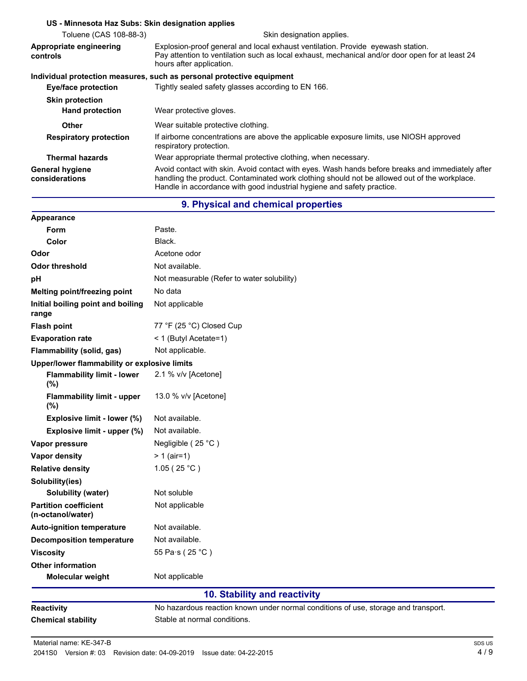#### **US - Minnesota Haz Subs: Skin designation applies**

| Toluene (CAS 108-88-3)                   | Skin designation applies.                                                                                                                                                                                                                                                  |  |
|------------------------------------------|----------------------------------------------------------------------------------------------------------------------------------------------------------------------------------------------------------------------------------------------------------------------------|--|
| Appropriate engineering<br>controls      | Explosion-proof general and local exhaust ventilation. Provide eyewash station.<br>Pay attention to ventilation such as local exhaust, mechanical and/or door open for at least 24<br>hours after application.                                                             |  |
|                                          | Individual protection measures, such as personal protective equipment                                                                                                                                                                                                      |  |
| Eye/face protection                      | Tightly sealed safety glasses according to EN 166.                                                                                                                                                                                                                         |  |
| <b>Skin protection</b>                   |                                                                                                                                                                                                                                                                            |  |
| <b>Hand protection</b>                   | Wear protective gloves.                                                                                                                                                                                                                                                    |  |
| <b>Other</b>                             | Wear suitable protective clothing.                                                                                                                                                                                                                                         |  |
| <b>Respiratory protection</b>            | If airborne concentrations are above the applicable exposure limits, use NIOSH approved<br>respiratory protection.                                                                                                                                                         |  |
| <b>Thermal hazards</b>                   | Wear appropriate thermal protective clothing, when necessary.                                                                                                                                                                                                              |  |
| <b>General hygiene</b><br>considerations | Avoid contact with skin. Avoid contact with eyes. Wash hands before breaks and immediately after<br>handling the product. Contaminated work clothing should not be allowed out of the workplace.<br>Handle in accordance with good industrial hygiene and safety practice. |  |

## **9. Physical and chemical properties**

| Appearance                                        |                                                                                    |
|---------------------------------------------------|------------------------------------------------------------------------------------|
| Form                                              | Paste.                                                                             |
| Color                                             | Black.                                                                             |
| Odor                                              | Acetone odor                                                                       |
| <b>Odor threshold</b>                             | Not available.                                                                     |
| pH                                                | Not measurable (Refer to water solubility)                                         |
| Melting point/freezing point                      | No data                                                                            |
| Initial boiling point and boiling<br>range        | Not applicable                                                                     |
| <b>Flash point</b>                                | 77 °F (25 °C) Closed Cup                                                           |
| <b>Evaporation rate</b>                           | < 1 (Butyl Acetate=1)                                                              |
| Flammability (solid, gas)                         | Not applicable.                                                                    |
| Upper/lower flammability or explosive limits      |                                                                                    |
| <b>Flammability limit - lower</b><br>(%)          | 2.1 % v/v [Acetone]                                                                |
| <b>Flammability limit - upper</b><br>(%)          | 13.0 % v/v [Acetone]                                                               |
| Explosive limit - lower (%)                       | Not available.                                                                     |
| Explosive limit - upper (%)                       | Not available.                                                                     |
| Vapor pressure                                    | Negligible (25 °C)                                                                 |
| Vapor density                                     | $> 1$ (air=1)                                                                      |
| <b>Relative density</b>                           | 1.05 (25 °C)                                                                       |
| Solubility(ies)                                   |                                                                                    |
| <b>Solubility (water)</b>                         | Not soluble                                                                        |
| <b>Partition coefficient</b><br>(n-octanol/water) | Not applicable                                                                     |
| <b>Auto-ignition temperature</b>                  | Not available.                                                                     |
| <b>Decomposition temperature</b>                  | Not available.                                                                     |
| <b>Viscosity</b>                                  | 55 Pa·s (25 °C)                                                                    |
| <b>Other information</b>                          |                                                                                    |
| Molecular weight                                  | Not applicable                                                                     |
|                                                   | 10. Stability and reactivity                                                       |
| <b>Reactivity</b>                                 | No hazardous reaction known under normal conditions of use, storage and transport. |
| <b>Chemical stability</b>                         | Stable at normal conditions.                                                       |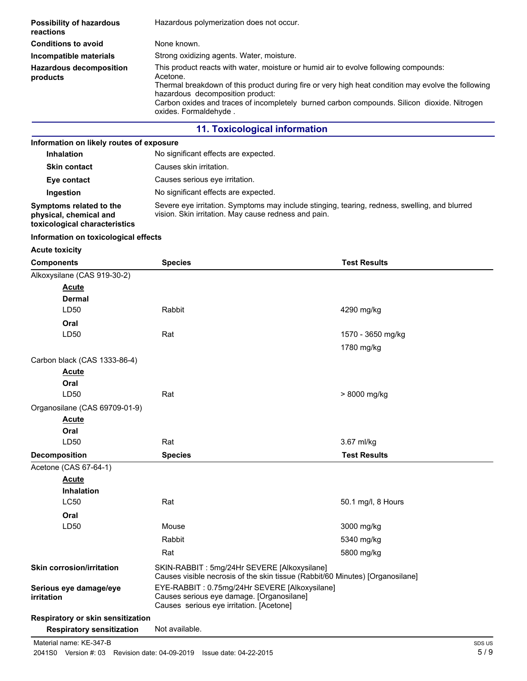| <b>Possibility of hazardous</b><br>reactions | Hazardous polymerization does not occur.                                                                                                                                                                                                                                                                                                                           |
|----------------------------------------------|--------------------------------------------------------------------------------------------------------------------------------------------------------------------------------------------------------------------------------------------------------------------------------------------------------------------------------------------------------------------|
| <b>Conditions to avoid</b>                   | None known.                                                                                                                                                                                                                                                                                                                                                        |
| Incompatible materials                       | Strong oxidizing agents. Water, moisture.                                                                                                                                                                                                                                                                                                                          |
| <b>Hazardous decomposition</b><br>products   | This product reacts with water, moisture or humid air to evolve following compounds:<br>Acetone.<br>Thermal breakdown of this product during fire or very high heat condition may evolve the following<br>hazardous decomposition product:<br>Carbon oxides and traces of incompletely burned carbon compounds. Silicon dioxide. Nitrogen<br>oxides. Formaldehyde. |
|                                              | <b>11. Toxicological information</b>                                                                                                                                                                                                                                                                                                                               |

## **Information on likely routes of exposure**

| <b>Inhalation</b>                                                                  | No significant effects are expected.                                                                                                                  |
|------------------------------------------------------------------------------------|-------------------------------------------------------------------------------------------------------------------------------------------------------|
| <b>Skin contact</b>                                                                | Causes skin irritation.                                                                                                                               |
| Eye contact                                                                        | Causes serious eve irritation.                                                                                                                        |
| Ingestion                                                                          | No significant effects are expected.                                                                                                                  |
| Symptoms related to the<br>physical, chemical and<br>toxicological characteristics | Severe eye irritation. Symptoms may include stinging, tearing, redness, swelling, and blurred<br>vision. Skin irritation. May cause redness and pain. |

#### **Information on toxicological effects**

**Acute toxicity**

| <b>Components</b>                    | <b>Species</b>                                                                                                                         | <b>Test Results</b> |
|--------------------------------------|----------------------------------------------------------------------------------------------------------------------------------------|---------------------|
| Alkoxysilane (CAS 919-30-2)          |                                                                                                                                        |                     |
| <b>Acute</b>                         |                                                                                                                                        |                     |
| Dermal                               |                                                                                                                                        |                     |
| LD50                                 | Rabbit                                                                                                                                 | 4290 mg/kg          |
| Oral                                 |                                                                                                                                        |                     |
| LD50                                 | Rat                                                                                                                                    | 1570 - 3650 mg/kg   |
|                                      |                                                                                                                                        | 1780 mg/kg          |
| Carbon black (CAS 1333-86-4)         |                                                                                                                                        |                     |
| <b>Acute</b>                         |                                                                                                                                        |                     |
| Oral                                 |                                                                                                                                        |                     |
| LD50                                 | Rat                                                                                                                                    | > 8000 mg/kg        |
| Organosilane (CAS 69709-01-9)        |                                                                                                                                        |                     |
| <u>Acute</u>                         |                                                                                                                                        |                     |
| Oral                                 |                                                                                                                                        |                     |
| LD50                                 | Rat                                                                                                                                    | 3.67 ml/kg          |
| <b>Decomposition</b>                 | <b>Species</b>                                                                                                                         | <b>Test Results</b> |
| Acetone (CAS 67-64-1)                |                                                                                                                                        |                     |
| <b>Acute</b>                         |                                                                                                                                        |                     |
| <b>Inhalation</b>                    |                                                                                                                                        |                     |
| <b>LC50</b>                          | Rat                                                                                                                                    | 50.1 mg/l, 8 Hours  |
| Oral                                 |                                                                                                                                        |                     |
| LD50                                 | Mouse                                                                                                                                  | 3000 mg/kg          |
|                                      | Rabbit                                                                                                                                 | 5340 mg/kg          |
|                                      | Rat                                                                                                                                    | 5800 mg/kg          |
| <b>Skin corrosion/irritation</b>     | SKIN-RABBIT : 5mg/24Hr SEVERE [Alkoxysilane]<br>Causes visible necrosis of the skin tissue (Rabbit/60 Minutes) [Organosilane]          |                     |
| Serious eye damage/eye<br>irritation | EYE-RABBIT: 0.75mg/24Hr SEVERE [Alkoxysilane]<br>Causes serious eye damage. [Organosilane]<br>Causes serious eye irritation. [Acetone] |                     |
| Respiratory or skin sensitization    |                                                                                                                                        |                     |
| <b>Respiratory sensitization</b>     | Not available.                                                                                                                         |                     |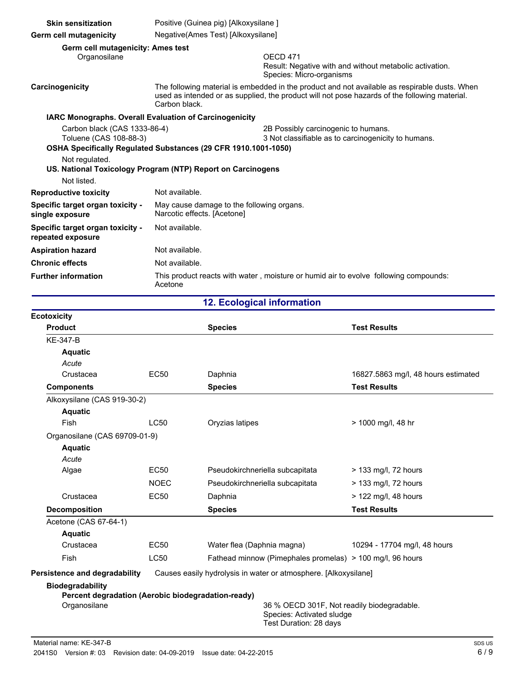| <b>Skin sensitization</b>                                                               | Positive (Guinea pig) [Alkoxysilane]                                                                                                                                                                            |                                                                                                            |  |
|-----------------------------------------------------------------------------------------|-----------------------------------------------------------------------------------------------------------------------------------------------------------------------------------------------------------------|------------------------------------------------------------------------------------------------------------|--|
| <b>Germ cell mutagenicity</b>                                                           | Negative(Ames Test) [Alkoxysilane]                                                                                                                                                                              |                                                                                                            |  |
| Germ cell mutagenicity: Ames test<br>Organosilane                                       |                                                                                                                                                                                                                 | OFCD <sub>471</sub><br>Result: Negative with and without metabolic activation.<br>Species: Micro-organisms |  |
| Carcinogenicity                                                                         | The following material is embedded in the product and not available as respirable dusts. When<br>used as intended or as supplied, the product will not pose hazards of the following material.<br>Carbon black. |                                                                                                            |  |
| IARC Monographs. Overall Evaluation of Carcinogenicity                                  |                                                                                                                                                                                                                 |                                                                                                            |  |
| Carbon black (CAS 1333-86-4)<br>Toluene (CAS 108-88-3)<br>Not regulated.<br>Not listed. | OSHA Specifically Regulated Substances (29 CFR 1910.1001-1050)<br>US. National Toxicology Program (NTP) Report on Carcinogens                                                                                   | 2B Possibly carcinogenic to humans.<br>3 Not classifiable as to carcinogenicity to humans.                 |  |
| <b>Reproductive toxicity</b>                                                            | Not available.                                                                                                                                                                                                  |                                                                                                            |  |
| Specific target organ toxicity -<br>single exposure                                     | May cause damage to the following organs.<br>Narcotic effects. [Acetone]                                                                                                                                        |                                                                                                            |  |
| Specific target organ toxicity -<br>repeated exposure                                   | Not available.                                                                                                                                                                                                  |                                                                                                            |  |
| <b>Aspiration hazard</b>                                                                | Not available.                                                                                                                                                                                                  |                                                                                                            |  |
| <b>Chronic effects</b>                                                                  | Not available.                                                                                                                                                                                                  |                                                                                                            |  |
| <b>Further information</b>                                                              | Acetone                                                                                                                                                                                                         | This product reacts with water, moisture or humid air to evolve following compounds:                       |  |

**12. Ecological information**

| <b>Ecotoxicity</b>                                 |             |                                                                 |                                            |
|----------------------------------------------------|-------------|-----------------------------------------------------------------|--------------------------------------------|
| <b>Product</b>                                     |             | <b>Species</b>                                                  | <b>Test Results</b>                        |
| <b>KE-347-B</b>                                    |             |                                                                 |                                            |
| <b>Aquatic</b>                                     |             |                                                                 |                                            |
| Acute                                              |             |                                                                 |                                            |
| Crustacea                                          | <b>EC50</b> | Daphnia                                                         | 16827.5863 mg/l, 48 hours estimated        |
| <b>Components</b>                                  |             | <b>Species</b>                                                  | <b>Test Results</b>                        |
| Alkoxysilane (CAS 919-30-2)                        |             |                                                                 |                                            |
| <b>Aquatic</b>                                     |             |                                                                 |                                            |
| <b>Fish</b>                                        | <b>LC50</b> | Oryzias latipes                                                 | > 1000 mg/l, 48 hr                         |
| Organosilane (CAS 69709-01-9)                      |             |                                                                 |                                            |
| <b>Aquatic</b>                                     |             |                                                                 |                                            |
| Acute                                              |             |                                                                 |                                            |
| Algae                                              | <b>EC50</b> | Pseudokirchneriella subcapitata                                 | > 133 mg/l, 72 hours                       |
|                                                    | <b>NOEC</b> | Pseudokirchneriella subcapitata                                 | > 133 mg/l, 72 hours                       |
| Crustacea                                          | <b>EC50</b> | Daphnia                                                         | $>$ 122 mg/l, 48 hours                     |
| <b>Decomposition</b>                               |             | <b>Species</b>                                                  | <b>Test Results</b>                        |
| Acetone (CAS 67-64-1)                              |             |                                                                 |                                            |
| <b>Aquatic</b>                                     |             |                                                                 |                                            |
| Crustacea                                          | <b>EC50</b> | Water flea (Daphnia magna)                                      | 10294 - 17704 mg/l, 48 hours               |
| Fish                                               | LC50        | Fathead minnow (Pimephales promelas) > 100 mg/l, 96 hours       |                                            |
| Persistence and degradability                      |             | Causes easily hydrolysis in water or atmosphere. [Alkoxysilane] |                                            |
| <b>Biodegradability</b>                            |             |                                                                 |                                            |
| Percent degradation (Aerobic biodegradation-ready) |             |                                                                 |                                            |
| Organosilane                                       |             |                                                                 | 36 % OECD 301F, Not readily biodegradable. |
|                                                    |             | Species: Activated sludge<br>Test Duration: 28 days             |                                            |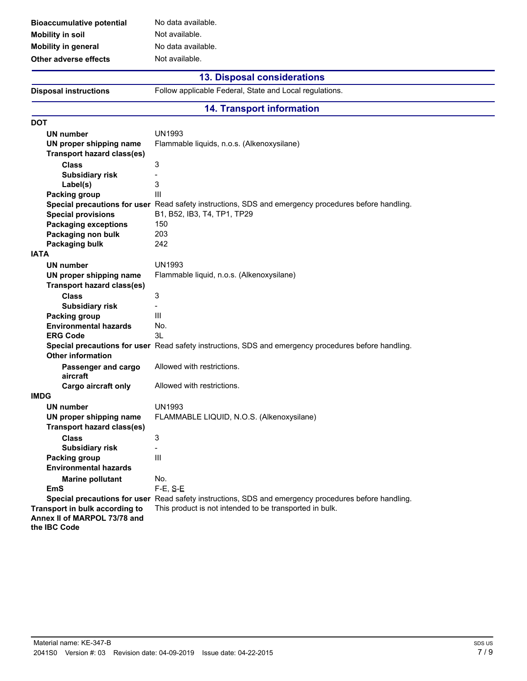| No data availa |
|----------------|
| Not available. |
| No data availa |
| Not available. |
|                |

available. available.

## **13. Disposal considerations**

**Disposal instructions** Follow applicable Federal, State and Local regulations.

### **14. Transport information**

| <b>DOT</b>                        |                                                                                                      |
|-----------------------------------|------------------------------------------------------------------------------------------------------|
| UN number                         | <b>UN1993</b>                                                                                        |
| UN proper shipping name           | Flammable liquids, n.o.s. (Alkenoxysilane)                                                           |
| <b>Transport hazard class(es)</b> |                                                                                                      |
| <b>Class</b>                      | 3                                                                                                    |
| <b>Subsidiary risk</b>            | Ξ                                                                                                    |
| Label(s)                          | 3                                                                                                    |
| <b>Packing group</b>              | III                                                                                                  |
|                                   | Special precautions for user Read safety instructions, SDS and emergency procedures before handling. |
| <b>Special provisions</b>         | B1, B52, IB3, T4, TP1, TP29                                                                          |
| <b>Packaging exceptions</b>       | 150                                                                                                  |
| Packaging non bulk                | 203                                                                                                  |
| <b>Packaging bulk</b>             | 242                                                                                                  |
| <b>IATA</b>                       |                                                                                                      |
| <b>UN number</b>                  | <b>UN1993</b>                                                                                        |
| UN proper shipping name           | Flammable liquid, n.o.s. (Alkenoxysilane)                                                            |
| <b>Transport hazard class(es)</b> |                                                                                                      |
| <b>Class</b>                      | 3                                                                                                    |
| <b>Subsidiary risk</b>            | $\overline{\phantom{0}}$                                                                             |
| <b>Packing group</b>              | III                                                                                                  |
| <b>Environmental hazards</b>      | No.                                                                                                  |
| <b>ERG Code</b>                   | 3L                                                                                                   |
|                                   | Special precautions for user Read safety instructions, SDS and emergency procedures before handling. |
| <b>Other information</b>          |                                                                                                      |
| Passenger and cargo               | Allowed with restrictions.                                                                           |
| aircraft                          |                                                                                                      |
| Cargo aircraft only               | Allowed with restrictions.                                                                           |
| <b>IMDG</b>                       |                                                                                                      |
| <b>UN number</b>                  | <b>UN1993</b>                                                                                        |
| UN proper shipping name           | FLAMMABLE LIQUID, N.O.S. (Alkenoxysilane)                                                            |
| <b>Transport hazard class(es)</b> |                                                                                                      |
| <b>Class</b>                      | 3                                                                                                    |
| <b>Subsidiary risk</b>            | $\overline{a}$                                                                                       |
| <b>Packing group</b>              | Ш                                                                                                    |
| <b>Environmental hazards</b>      |                                                                                                      |
| <b>Marine pollutant</b>           | No.                                                                                                  |
| EmS                               | $F-E$ , $S-E$                                                                                        |
|                                   | Special precautions for user Read safety instructions, SDS and emergency procedures before handling. |
| Transport in bulk according to    | This product is not intended to be transported in bulk.                                              |
| Annex II of MARPOL 73/78 and      |                                                                                                      |
| the IBC Code                      |                                                                                                      |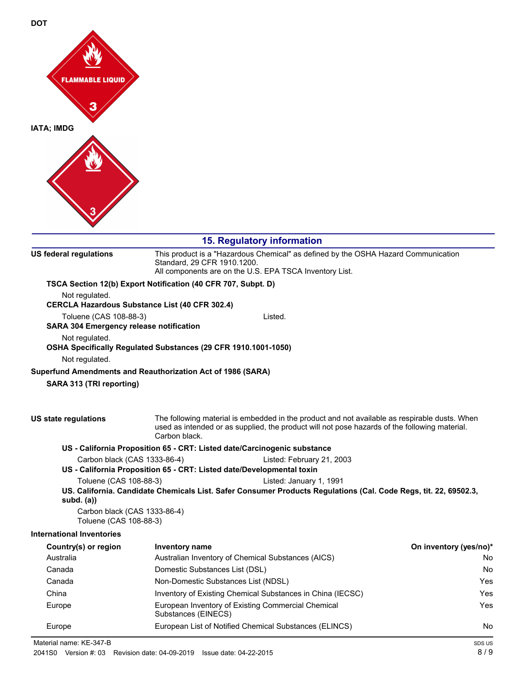

# **15. Regulatory information**

| <b>US federal regulations</b>                                                    | Standard, 29 CFR 1910.1200.    | This product is a "Hazardous Chemical" as defined by the OSHA Hazard Communication<br>All components are on the U.S. EPA TSCA Inventory List.                                                  |                        |
|----------------------------------------------------------------------------------|--------------------------------|------------------------------------------------------------------------------------------------------------------------------------------------------------------------------------------------|------------------------|
| TSCA Section 12(b) Export Notification (40 CFR 707, Subpt. D)                    |                                |                                                                                                                                                                                                |                        |
| Not regulated.                                                                   |                                |                                                                                                                                                                                                |                        |
| <b>CERCLA Hazardous Substance List (40 CFR 302.4)</b>                            |                                |                                                                                                                                                                                                |                        |
| Toluene (CAS 108-88-3)                                                           |                                | Listed.                                                                                                                                                                                        |                        |
| SARA 304 Emergency release notification                                          |                                |                                                                                                                                                                                                |                        |
| Not regulated.<br>OSHA Specifically Regulated Substances (29 CFR 1910.1001-1050) |                                |                                                                                                                                                                                                |                        |
| Not regulated.                                                                   |                                |                                                                                                                                                                                                |                        |
| Superfund Amendments and Reauthorization Act of 1986 (SARA)                      |                                |                                                                                                                                                                                                |                        |
| SARA 313 (TRI reporting)                                                         |                                |                                                                                                                                                                                                |                        |
|                                                                                  |                                |                                                                                                                                                                                                |                        |
| US state regulations                                                             | Carbon black.                  | The following material is embedded in the product and not available as respirable dusts. When<br>used as intended or as supplied, the product will not pose hazards of the following material. |                        |
|                                                                                  |                                | US - California Proposition 65 - CRT: Listed date/Carcinogenic substance                                                                                                                       |                        |
| Carbon black (CAS 1333-86-4)                                                     |                                | Listed: February 21, 2003                                                                                                                                                                      |                        |
|                                                                                  |                                | US - California Proposition 65 - CRT: Listed date/Developmental toxin                                                                                                                          |                        |
| Toluene (CAS 108-88-3)                                                           |                                | Listed: January 1, 1991                                                                                                                                                                        |                        |
| subd. $(a)$                                                                      |                                | US. California. Candidate Chemicals List. Safer Consumer Products Regulations (Cal. Code Regs, tit. 22, 69502.3,                                                                               |                        |
| Carbon black (CAS 1333-86-4)<br>Toluene (CAS 108-88-3)                           |                                |                                                                                                                                                                                                |                        |
| <b>International Inventories</b>                                                 |                                |                                                                                                                                                                                                |                        |
| Country(s) or region                                                             | Inventory name                 |                                                                                                                                                                                                | On inventory (yes/no)* |
| Australia                                                                        |                                | Australian Inventory of Chemical Substances (AICS)                                                                                                                                             | No.                    |
| Canada                                                                           | Domestic Substances List (DSL) |                                                                                                                                                                                                | No.                    |
| Canada                                                                           |                                | Non-Domestic Substances List (NDSL)<br>Yes                                                                                                                                                     |                        |
| China                                                                            |                                | Inventory of Existing Chemical Substances in China (IECSC)<br>Yes                                                                                                                              |                        |
| Europe                                                                           | Substances (EINECS)            | European Inventory of Existing Commercial Chemical                                                                                                                                             | <b>Yes</b>             |
| Europe                                                                           |                                | European List of Notified Chemical Substances (ELINCS)                                                                                                                                         | No.                    |
| Material name: KE-347-B                                                          |                                |                                                                                                                                                                                                | SDS US                 |